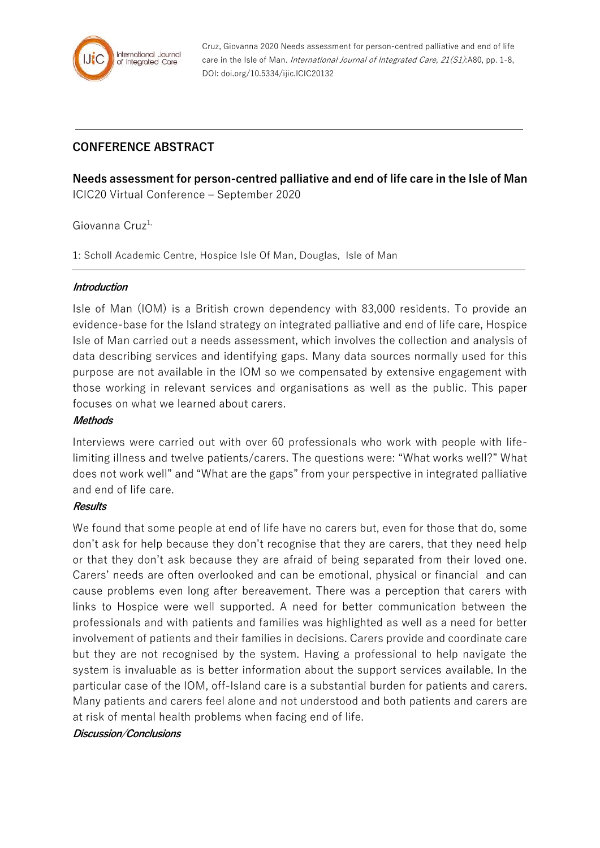

Cruz, Giovanna 2020 Needs assessment for person-centred palliative and end of life care in the Isle of Man. International Journal of Integrated Care, 21(S1):A80, pp. 1-8, DOI: doi.org/10.5334/ijic.ICIC20132

# **CONFERENCE ABSTRACT**

**Needs assessment for person-centred palliative and end of life care in the Isle of Man** ICIC20 Virtual Conference – September 2020

## Giovanna Cruz<sup>1,</sup>

1: Scholl Academic Centre, Hospice Isle Of Man, Douglas, Isle of Man

#### **Introduction**

Isle of Man (IOM) is a British crown dependency with 83,000 residents. To provide an evidence-base for the Island strategy on integrated palliative and end of life care, Hospice Isle of Man carried out a needs assessment, which involves the collection and analysis of data describing services and identifying gaps. Many data sources normally used for this purpose are not available in the IOM so we compensated by extensive engagement with those working in relevant services and organisations as well as the public. This paper focuses on what we learned about carers.

#### **Methods**

Interviews were carried out with over 60 professionals who work with people with lifelimiting illness and twelve patients/carers. The questions were: "What works well?" What does not work well" and "What are the gaps" from your perspective in integrated palliative and end of life care.

### **Results**

We found that some people at end of life have no carers but, even for those that do, some don't ask for help because they don't recognise that they are carers, that they need help or that they don't ask because they are afraid of being separated from their loved one. Carers' needs are often overlooked and can be emotional, physical or financial and can cause problems even long after bereavement. There was a perception that carers with links to Hospice were well supported. A need for better communication between the professionals and with patients and families was highlighted as well as a need for better involvement of patients and their families in decisions. Carers provide and coordinate care but they are not recognised by the system. Having a professional to help navigate the system is invaluable as is better information about the support services available. In the particular case of the IOM, off-Island care is a substantial burden for patients and carers. Many patients and carers feel alone and not understood and both patients and carers are at risk of mental health problems when facing end of life.

#### **Discussion/Conclusions**